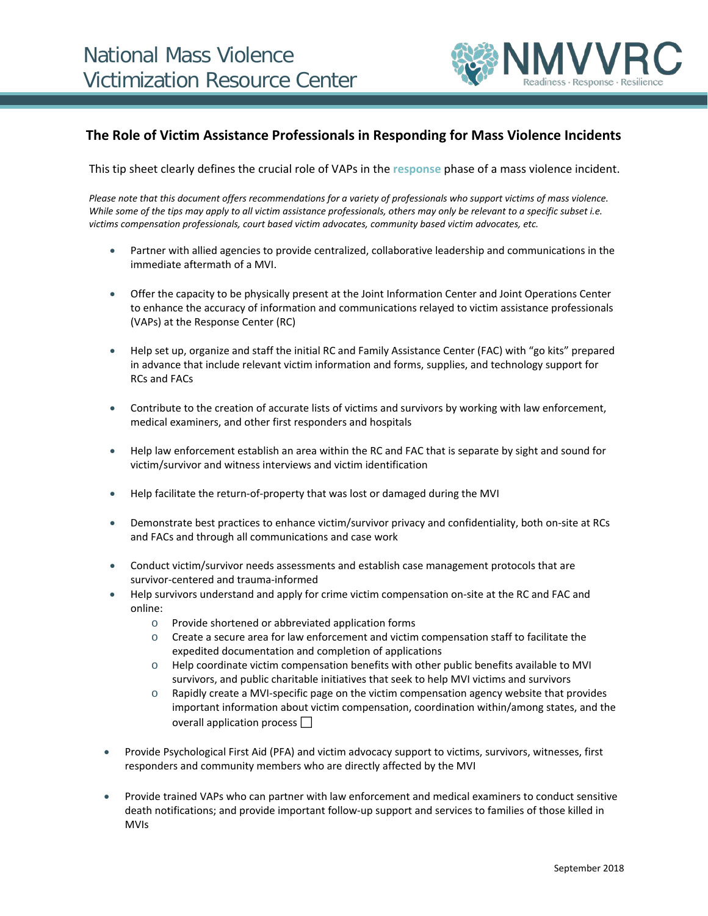

## **The Role of Victim Assistance Professionals in Responding for Mass Violence Incidents**

This tip sheet clearly defines the crucial role of VAPs in the **response** phase of a mass violence incident.

*Please note that this document offers recommendations for a variety of professionals who support victims of mass violence.*  While some of the tips may apply to all victim assistance professionals, others may only be relevant to a specific subset i.e. *victims compensation professionals, court based victim advocates, community based victim advocates, etc.*

- Partner with allied agencies to provide centralized, collaborative leadership and communications in the immediate aftermath of a MVI.
- Offer the capacity to be physically present at the Joint Information Center and Joint Operations Center to enhance the accuracy of information and communications relayed to victim assistance professionals (VAPs) at the Response Center (RC)
- Help set up, organize and staff the initial RC and Family Assistance Center (FAC) with "go kits" prepared in advance that include relevant victim information and forms, supplies, and technology support for RCs and FACs
- Contribute to the creation of accurate lists of victims and survivors by working with law enforcement, medical examiners, and other first responders and hospitals
- Help law enforcement establish an area within the RC and FAC that is separate by sight and sound for victim/survivor and witness interviews and victim identification
- Help facilitate the return-of-property that was lost or damaged during the MVI
- Demonstrate best practices to enhance victim/survivor privacy and confidentiality, both on-site at RCs and FACs and through all communications and case work
- Conduct victim/survivor needs assessments and establish case management protocols that are survivor-centered and trauma-informed
- Help survivors understand and apply for crime victim compensation on-site at the RC and FAC and online:
	- o Provide shortened or abbreviated application forms
	- $\circ$  Create a secure area for law enforcement and victim compensation staff to facilitate the expedited documentation and completion of applications
	- o Help coordinate victim compensation benefits with other public benefits available to MVI survivors, and public charitable initiatives that seek to help MVI victims and survivors
	- o Rapidly create a MVI-specific page on the victim compensation agency website that provides important information about victim compensation, coordination within/among states, and the overall application process
- Provide Psychological First Aid (PFA) and victim advocacy support to victims, survivors, witnesses, first responders and community members who are directly affected by the MVI
- Provide trained VAPs who can partner with law enforcement and medical examiners to conduct sensitive death notifications; and provide important follow-up support and services to families of those killed in MVIs